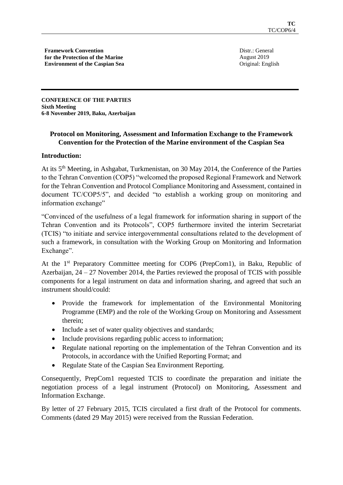**Framework Convention for the Protection of the Marine Environment of the Caspian Sea** Distr.: General August 2019 Original: English

**CONFERENCE OF THE PARTIES Sixth Meeting 6-8 November 2019, Baku, Azerbaijan** 

# **Protocol on Monitoring, Assessment and Information Exchange to the Framework Convention for the Protection of the Marine environment of the Caspian Sea**

# **Introduction:**

At its 5th Meeting, in Ashgabat, Turkmenistan, on 30 May 2014, the Conference of the Parties to the Tehran Convention (COP5) "welcomed the proposed Regional Framework and Network for the Tehran Convention and Protocol Compliance Monitoring and Assessment, contained in document TC/COP5/5", and decided "to establish a working group on monitoring and information exchange"

"Convinced of the usefulness of a legal framework for information sharing in support of the Tehran Convention and its Protocols", COP5 furthermore invited the interim Secretariat (TCIS) "to initiate and service intergovernmental consultations related to the development of such a framework, in consultation with the Working Group on Monitoring and Information Exchange".

At the 1<sup>st</sup> Preparatory Committee meeting for COP6 (PrepCom1), in Baku, Republic of Azerbaijan, 24 – 27 November 2014, the Parties reviewed the proposal of TCIS with possible components for a legal instrument on data and information sharing, and agreed that such an instrument should/could:

- Provide the framework for implementation of the Environmental Monitoring Programme (EMP) and the role of the Working Group on Monitoring and Assessment therein;
- Include a set of water quality objectives and standards;
- Include provisions regarding public access to information;
- Regulate national reporting on the implementation of the Tehran Convention and its Protocols, in accordance with the Unified Reporting Format; and
- Regulate State of the Caspian Sea Environment Reporting.

Consequently, PrepCom1 requested TCIS to coordinate the preparation and initiate the negotiation process of a legal instrument (Protocol) on Monitoring, Assessment and Information Exchange.

By letter of 27 February 2015, TCIS circulated a first draft of the Protocol for comments. Comments (dated 29 May 2015) were received from the Russian Federation.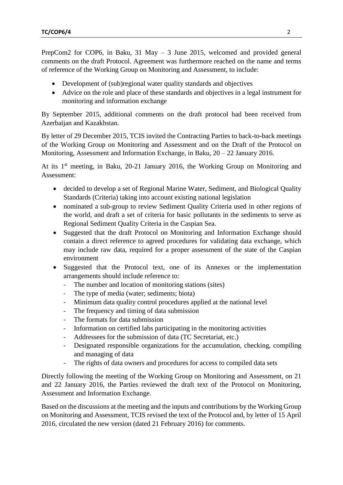PrepCom2 for COP6, in Baku, 31 May – 3 June 2015, welcomed and provided general comments on the draft Protocol. Agreement was furthermore reached on the name and terms of reference of the Working Group on Monitoring and Assessment, to include:

- Development of (sub)regional water quality standards and objectives
- Advice on the role and place of these standards and objectives in a legal instrument for monitoring and information exchange

By September 2015, additional comments on the draft protocol had been received from Azerbaijan and Kazakhstan.

By letter of 29 December 2015, TCIS invited the Contracting Parties to back-to-back meetings of the Working Group on Monitoring and Assessment and on the Draft of the Protocol on Monitoring, Assessment and Information Exchange, in Baku, 20 – 22 January 2016.

At its 1<sup>st</sup> meeting, in Baku, 20-21 January 2016, the Working Group on Monitoring and Assessment:

- decided to develop a set of Regional Marine Water, Sediment, and Biological Quality Standards (Criteria) taking into account existing national legislation
- nominated a sub-group to review Sediment Quality Criteria used in other regions of the world, and draft a set of criteria for basic pollutants in the sediments to serve as Regional Sediment Quality Criteria in the Caspian Sea.
- Suggested that the draft Protocol on Monitoring and Information Exchange should contain a direct reference to agreed procedures for validating data exchange, which may include raw data, required for a proper assessment of the state of the Caspian environment
- Suggested that the Protocol text, one of its Annexes or the implementation arrangements should include reference to:
	- The number and location of monitoring stations (sites)
	- The type of media (water; sediments; biota)
	- Minimum data quality control procedures applied at the national level
	- The frequency and timing of data submission
	- The formats for data submission
	- Information on certified labs participating in the monitoring activities
	- Addressees for the submission of data (TC Secretariat, etc.)
	- Designated responsible organizations for the accumulation, checking, compiling and managing of data
	- The rights of data owners and procedures for access to compiled data sets

Directly following the meeting of the Working Group on Monitoring and Assessment, on 21 and 22 January 2016, the Parties reviewed the draft text of the Protocol on Monitoring, Assessment and Information Exchange.

Based on the discussions at the meeting and the inputs and contributions by the Working Group on Monitoring and Assessment, TCIS revised the text of the Protocol and, by letter of 15 April 2016, circulated the new version (dated 21 February 2016) for comments.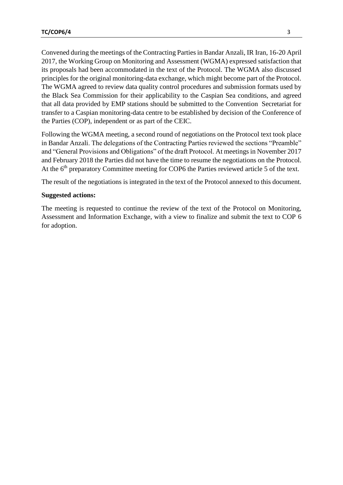Convened during the meetings of the Contracting Parties in Bandar Anzali, IR Iran, 16-20 April 2017, the Working Group on Monitoring and Assessment (WGMA) expressed satisfaction that its proposals had been accommodated in the text of the Protocol. The WGMA also discussed principles for the original monitoring-data exchange, which might become part of the Protocol. The WGMA agreed to review data quality control procedures and submission formats used by the Black Sea Commission for their applicability to the Caspian Sea conditions, and agreed that all data provided by EMP stations should be submitted to the Convention Secretariat for transfer to a Caspian monitoring-data centre to be established by decision of the Conference of the Parties (COP), independent or as part of the CEIC.

Following the WGMA meeting, a second round of negotiations on the Protocol text took place in Bandar Anzali. The delegations of the Contracting Parties reviewed the sections "Preamble" and "General Provisions and Obligations" of the draft Protocol. At meetings in November 2017 and February 2018 the Parties did not have the time to resume the negotiations on the Protocol. At the 6<sup>th</sup> preparatory Committee meeting for COP6 the Parties reviewed article 5 of the text.

The result of the negotiations is integrated in the text of the Protocol annexed to this document.

### **Suggested actions:**

The meeting is requested to continue the review of the text of the Protocol on Monitoring, Assessment and Information Exchange, with a view to finalize and submit the text to COP 6 for adoption.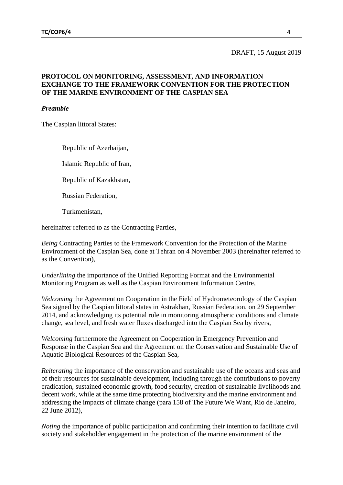#### DRAFT, 15 August 2019

### **PROTOCOL ON MONITORING, ASSESSMENT, AND INFORMATION EXCHANGE TO THE FRAMEWORK CONVENTION FOR THE PROTECTION OF THE MARINE ENVIRONMENT OF THE CASPIAN SEA**

#### *Preamble*

The Caspian littoral States:

Republic of Azerbaijan,

Islamic Republic of Iran,

Republic of Kazakhstan,

Russian Federation,

Turkmenistan,

hereinafter referred to as the Contracting Parties,

*Being* Contracting Parties to the Framework Convention for the Protection of the Marine Environment of the Caspian Sea, done at Tehran on 4 November 2003 (hereinafter referred to as the Convention),

*Underlining* the importance of the Unified Reporting Format and the Environmental Monitoring Program as well as the Caspian Environment Information Centre,

*Welcoming* the Agreement on Cooperation in the Field of Hydrometeorology of the Caspian Sea signed by the Caspian littoral states in Astrakhan, Russian Federation, on 29 September 2014, and acknowledging its potential role in monitoring atmospheric conditions and climate change, sea level, and fresh water fluxes discharged into the Caspian Sea by rivers,

*Welcoming* furthermore the Agreement on Cooperation in Emergency Prevention and Response in the Caspian Sea and the Agreement on the Conservation and Sustainable Use of Aquatic Biological Resources of the Caspian Sea,

*Reiterating* the importance of the conservation and sustainable use of the oceans and seas and of their resources for sustainable development, including through the contributions to poverty eradication, sustained economic growth, food security, creation of sustainable livelihoods and decent work, while at the same time protecting biodiversity and the marine environment and addressing the impacts of climate change (para 158 of The Future We Want, Rio de Janeiro, 22 June 2012)*,*

*Noting* the importance of public participation and confirming their intention to facilitate civil society and stakeholder engagement in the protection of the marine environment of the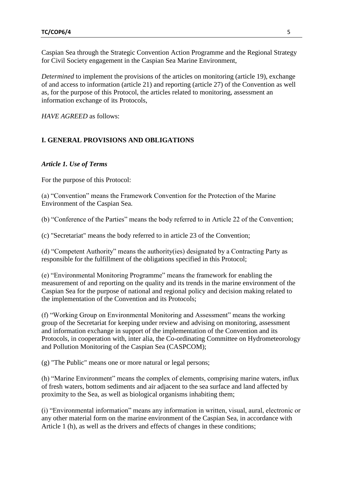Caspian Sea through the Strategic Convention Action Programme and the Regional Strategy for Civil Society engagement in the Caspian Sea Marine Environment,

*Determined* to implement the provisions of the articles on monitoring (article 19), exchange of and access to information (article 21) and reporting (article 27) of the Convention as well as, for the purpose of this Protocol, the articles related to monitoring, assessment an information exchange of its Protocols,

*HAVE AGREED* as follows:

# **I. GENERAL PROVISIONS AND OBLIGATIONS**

### *Article 1. Use of Terms*

For the purpose of this Protocol:

(a) "Convention" means the Framework Convention for the Protection of the Marine Environment of the Caspian Sea.

(b) "Conference of the Parties" means the body referred to in Article 22 of the Convention;

(c) "Secretariat" means the body referred to in article 23 of the Convention;

(d) "Competent Authority" means the authority(ies) designated by a Contracting Party as responsible for the fulfillment of the obligations specified in this Protocol;

(e) "Environmental Monitoring Programme" means the framework for enabling the measurement of and reporting on the quality and its trends in the marine environment of the Caspian Sea for the purpose of national and regional policy and decision making related to the implementation of the Convention and its Protocols;

(f) "Working Group on Environmental Monitoring and Assessment" means the working group of the Secretariat for keeping under review and advising on monitoring, assessment and information exchange in support of the implementation of the Convention and its Protocols, in cooperation with, inter alia, the Co-ordinating Committee on Hydrometeorology and Pollution Monitoring of the Caspian Sea (CASPCOM);

(g) "The Public" means one or more natural or legal persons;

(h) "Marine Environment" means the complex of elements, comprising marine waters, influx of fresh waters, bottom sediments and air adjacent to the sea surface and land affected by proximity to the Sea, as well as biological organisms inhabiting them;

(i) "Environmental information" means any information in written, visual, aural, electronic or any other material form on the marine environment of the Caspian Sea, in accordance with Article 1 (h), as well as the drivers and effects of changes in these conditions;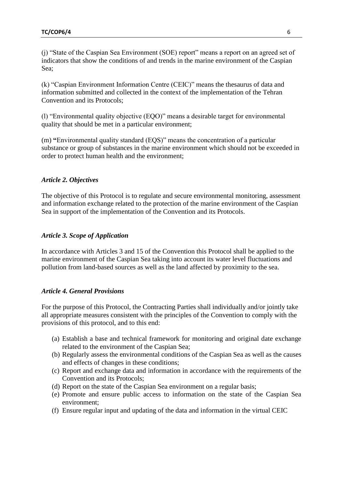(j) "State of the Caspian Sea Environment (SOE) report" means a report on an agreed set of indicators that show the conditions of and trends in the marine environment of the Caspian Sea;

(k) "Caspian Environment Information Centre (CEIC)" means the thesaurus of data and information submitted and collected in the context of the implementation of the Tehran Convention and its Protocols;

(l) "Environmental quality objective (EQO)" means a desirable target for environmental quality that should be met in a particular environment;

(m) **"**Environmental quality standard (EQS)" means the concentration of a particular substance or group of substances in the marine environment which should not be exceeded in order to protect human health and the environment;

# *Article 2. Objectives*

The objective of this Protocol is to regulate and secure environmental monitoring, assessment and information exchange related to the protection of the marine environment of the Caspian Sea in support of the implementation of the Convention and its Protocols.

### *Article 3. Scope of Application*

In accordance with Articles 3 and 15 of the Convention this Protocol shall be applied to the marine environment of the Caspian Sea taking into account its water level fluctuations and pollution from land-based sources as well as the land affected by proximity to the sea.

#### *Article 4. General Provisions*

For the purpose of this Protocol, the Contracting Parties shall individually and/or jointly take all appropriate measures consistent with the principles of the Convention to comply with the provisions of this protocol, and to this end:

- (a) Establish a base and technical framework for monitoring and original date exchange related to the environment of the Caspian Sea;
- (b) Regularly assess the environmental conditions of the Caspian Sea as well as the causes and effects of changes in these conditions;
- (c) Report and exchange data and information in accordance with the requirements of the Convention and its Protocols;
- (d) Report on the state of the Caspian Sea environment on a regular basis;
- (e) Promote and ensure public access to information on the state of the Caspian Sea environment;
- (f) Ensure regular input and updating of the data and information in the virtual CEIC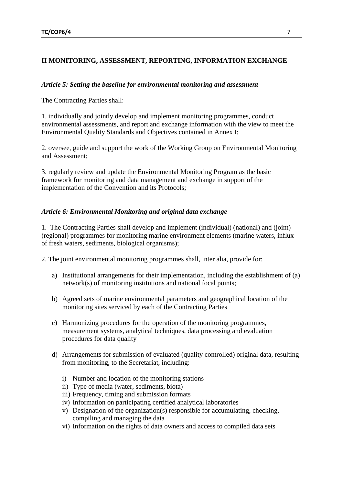# **II MONITORING, ASSESSMENT, REPORTING, INFORMATION EXCHANGE**

# *Article 5: Setting the baseline for environmental monitoring and assessment*

The Contracting Parties shall:

1. individually and jointly develop and implement monitoring programmes, conduct environmental assessments, and report and exchange information with the view to meet the Environmental Quality Standards and Objectives contained in Annex I;

2. oversee, guide and support the work of the Working Group on Environmental Monitoring and Assessment;

3. regularly review and update the Environmental Monitoring Program as the basic framework for monitoring and data management and exchange in support of the implementation of the Convention and its Protocols;

# *Article 6: Environmental Monitoring and original data exchange*

1. The Contracting Parties shall develop and implement (individual) (national) and (joint) (regional) programmes for monitoring marine environment elements (marine waters, influx of fresh waters, sediments, biological organisms);

2. The joint environmental monitoring programmes shall, inter alia, provide for:

- a) Institutional arrangements for their implementation, including the establishment of (a) network(s) of monitoring institutions and national focal points;
- b) Agreed sets of marine environmental parameters and geographical location of the monitoring sites serviced by each of the Contracting Parties
- c) Harmonizing procedures for the operation of the monitoring programmes, measurement systems, analytical techniques, data processing and evaluation procedures for data quality
- d) Arrangements for submission of evaluated (quality controlled) original data, resulting from monitoring, to the Secretariat, including:
	- i) Number and location of the monitoring stations
	- ii) Type of media (water, sediments, biota)
	- iii) Frequency, timing and submission formats
	- iv) Information on participating certified analytical laboratories
	- v) Designation of the organization(s) responsible for accumulating, checking, compiling and managing the data
	- vi) Information on the rights of data owners and access to compiled data sets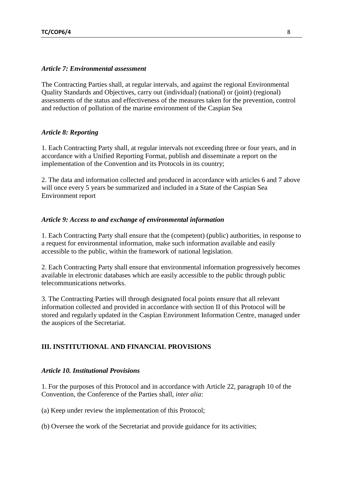#### *Article 7: Environmental assessment*

The Contracting Parties shall, at regular intervals, and against the regional Environmental Quality Standards and Objectives, carry out (individual) (national) or (joint) (regional) assessments of the status and effectiveness of the measures taken for the prevention, control and reduction of pollution of the marine environment of the Caspian Sea

#### *Article 8: Reporting*

1. Each Contracting Party shall, at regular intervals not exceeding three or four years, and in accordance with a Unified Reporting Format, publish and disseminate a report on the implementation of the Convention and its Protocols in its country;

2. The data and information collected and produced in accordance with articles 6 and 7 above will once every 5 years be summarized and included in a State of the Caspian Sea Environment report

#### *Article 9: Access to and exchange of environmental information*

1. Each Contracting Party shall ensure that the (competent) (public) authorities, in response to a request for environmental information, make such information available and easily accessible to the public, within the framework of national legislation.

2. Each Contracting Party shall ensure that environmental information progressively becomes available in electronic databases which are easily accessible to the public through public telecommunications networks.

3. The Contracting Parties will through designated focal points ensure that all relevant information collected and provided in accordance with section II of this Protocol will be stored and regularly updated in the Caspian Environment Information Centre, managed under the auspices of the Secretariat.

### **III. INSTITUTIONAL AND FINANCIAL PROVISIONS**

#### *Article 10. Institutional Provisions*

1. For the purposes of this Protocol and in accordance with Article 22, paragraph 10 of the Convention, the Conference of the Parties shall, *inter alia*:

(a) Keep under review the implementation of this Protocol;

(b) Oversee the work of the Secretariat and provide guidance for its activities;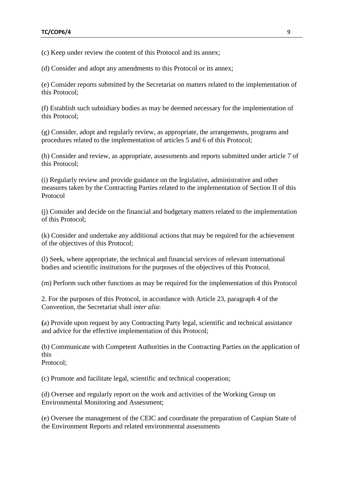(c) Keep under review the content of this Protocol and its annex;

(d) Consider and adopt any amendments to this Protocol or its annex;

(e) Consider reports submitted by the Secretariat on matters related to the implementation of this Protocol;

(f) Establish such subsidiary bodies as may be deemed necessary for the implementation of this Protocol;

(g) Consider, adopt and regularly review, as appropriate, the arrangements, programs and procedures related to the implementation of articles 5 and 6 of this Protocol;

(h) Consider and review, as appropriate, assessments and reports submitted under article 7 of this Protocol;

(i) Regularly review and provide guidance on the legislative, administrative and other measures taken by the Contracting Parties related to the implementation of Section II of this Protocol

(j) Consider and decide on the financial and budgetary matters related to the implementation of this Protocol;

(k) Consider and undertake any additional actions that may be required for the achievement of the objectives of this Protocol;

(l) Seek, where appropriate, the technical and financial services of relevant international bodies and scientific institutions for the purposes of the objectives of this Protocol.

(m) Perform such other functions as may be required for the implementation of this Protocol

2. For the purposes of this Protocol, in accordance with Article 23, paragraph 4 of the Convention, the Secretariat shall *inter alia*:

**(**a) Provide upon request by any Contracting Party legal, scientific and technical assistance and advice for the effective implementation of this Protocol;

(b) Communicate with Competent Authorities in the Contracting Parties on the application of this

Protocol;

(c) Promote and facilitate legal, scientific and technical cooperation;

(d) Oversee and regularly report on the work and activities of the Working Group on Environmental Monitoring and Assessment;

(e) Oversee the management of the CEIC and coordinate the preparation of Caspian State of the Environment Reports and related environmental assessments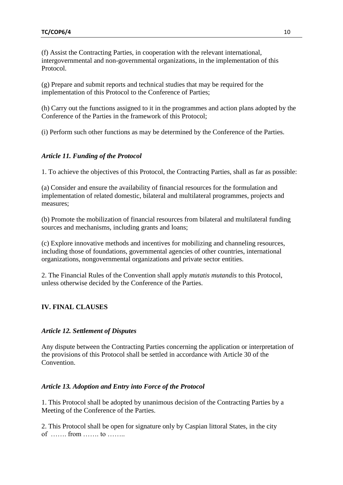(f) Assist the Contracting Parties, in cooperation with the relevant international, intergovernmental and non-governmental organizations, in the implementation of this Protocol.

(g) Prepare and submit reports and technical studies that may be required for the implementation of this Protocol to the Conference of Parties;

(h) Carry out the functions assigned to it in the programmes and action plans adopted by the Conference of the Parties in the framework of this Protocol;

(i) Perform such other functions as may be determined by the Conference of the Parties.

### *Article 11. Funding of the Protocol*

1. To achieve the objectives of this Protocol, the Contracting Parties, shall as far as possible:

(a) Consider and ensure the availability of financial resources for the formulation and implementation of related domestic, bilateral and multilateral programmes, projects and measures;

(b) Promote the mobilization of financial resources from bilateral and multilateral funding sources and mechanisms, including grants and loans;

(c) Explore innovative methods and incentives for mobilizing and channeling resources, including those of foundations, governmental agencies of other countries, international organizations, nongovernmental organizations and private sector entities.

2. The Financial Rules of the Convention shall apply *mutatis mutandis* to this Protocol, unless otherwise decided by the Conference of the Parties.

# **IV. FINAL CLAUSES**

#### *Article 12. Settlement of Disputes*

Any dispute between the Contracting Parties concerning the application or interpretation of the provisions of this Protocol shall be settled in accordance with Article 30 of the Convention.

#### *Article 13. Adoption and Entry into Force of the Protocol*

1. This Protocol shall be adopted by unanimous decision of the Contracting Parties by a Meeting of the Conference of the Parties.

2. This Protocol shall be open for signature only by Caspian littoral States, in the city of ……. from ……. to ……..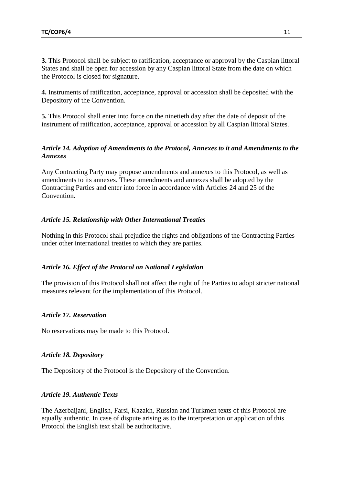**3.** This Protocol shall be subject to ratification, acceptance or approval by the Caspian littoral States and shall be open for accession by any Caspian littoral State from the date on which the Protocol is closed for signature.

**4.** Instruments of ratification, acceptance, approval or accession shall be deposited with the Depository of the Convention.

**5.** This Protocol shall enter into force on the ninetieth day after the date of deposit of the instrument of ratification, acceptance, approval or accession by all Caspian littoral States.

# *Article 14. Adoption of Amendments to the Protocol, Annexes to it and Amendments to the Annexes*

Any Contracting Party may propose amendments and annexes to this Protocol, as well as amendments to its annexes. These amendments and annexes shall be adopted by the Contracting Parties and enter into force in accordance with Articles 24 and 25 of the **Convention** 

# *Article 15. Relationship with Other International Treaties*

Nothing in this Protocol shall prejudice the rights and obligations of the Contracting Parties under other international treaties to which they are parties.

### *Article 16. Effect of the Protocol on National Legislation*

The provision of this Protocol shall not affect the right of the Parties to adopt stricter national measures relevant for the implementation of this Protocol.

### *Article 17. Reservation*

No reservations may be made to this Protocol.

### *Article 18. Depository*

The Depository of the Protocol is the Depository of the Convention.

## *Article 19. Authentic Texts*

The Azerbaijani, English, Farsi, Kazakh, Russian and Turkmen texts of this Protocol are equally authentic. In case of dispute arising as to the interpretation or application of this Protocol the English text shall be authoritative.